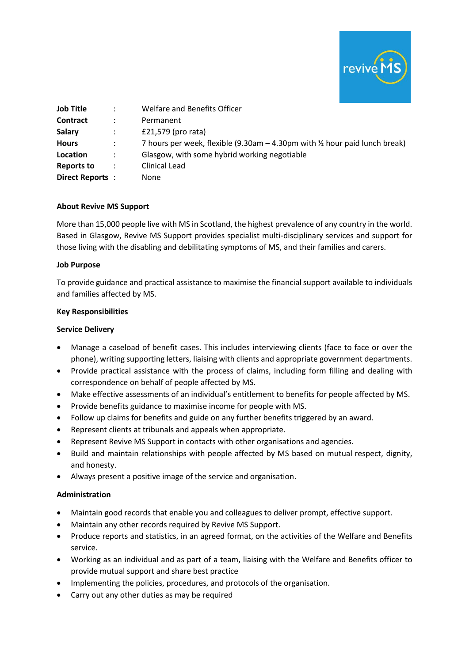

| <b>Job Title</b> | ÷                    | Welfare and Benefits Officer                                                |
|------------------|----------------------|-----------------------------------------------------------------------------|
| <b>Contract</b>  | $\ddot{\phantom{a}}$ | Permanent                                                                   |
| <b>Salary</b>    |                      | £21,579 (pro rata)                                                          |
| <b>Hours</b>     |                      | 7 hours per week, flexible (9.30am - 4.30pm with 1/2 hour paid lunch break) |
| Location         | $\ddot{\phantom{a}}$ | Glasgow, with some hybrid working negotiable                                |
| Reports to       | $\ddot{\cdot}$       | Clinical Lead                                                               |
| Direct Reports:  |                      | <b>None</b>                                                                 |

#### **About Revive MS Support**

More than 15,000 people live with MS in Scotland, the highest prevalence of any country in the world. Based in Glasgow, Revive MS Support provides specialist multi-disciplinary services and support for those living with the disabling and debilitating symptoms of MS, and their families and carers.

#### **Job Purpose**

To provide guidance and practical assistance to maximise the financial support available to individuals and families affected by MS.

### **Key Responsibilities**

### **Service Delivery**

- Manage a caseload of benefit cases. This includes interviewing clients (face to face or over the phone), writing supporting letters, liaising with clients and appropriate government departments.
- Provide practical assistance with the process of claims, including form filling and dealing with correspondence on behalf of people affected by MS.
- Make effective assessments of an individual's entitlement to benefits for people affected by MS.
- Provide benefits guidance to maximise income for people with MS.
- Follow up claims for benefits and guide on any further benefits triggered by an award.
- Represent clients at tribunals and appeals when appropriate.
- Represent Revive MS Support in contacts with other organisations and agencies.
- Build and maintain relationships with people affected by MS based on mutual respect, dignity, and honesty.
- Always present a positive image of the service and organisation.

# **Administration**

- Maintain good records that enable you and colleagues to deliver prompt, effective support.
- Maintain any other records required by Revive MS Support.
- Produce reports and statistics, in an agreed format, on the activities of the Welfare and Benefits service.
- Working as an individual and as part of a team, liaising with the Welfare and Benefits officer to provide mutual support and share best practice
- Implementing the policies, procedures, and protocols of the organisation.
- Carry out any other duties as may be required